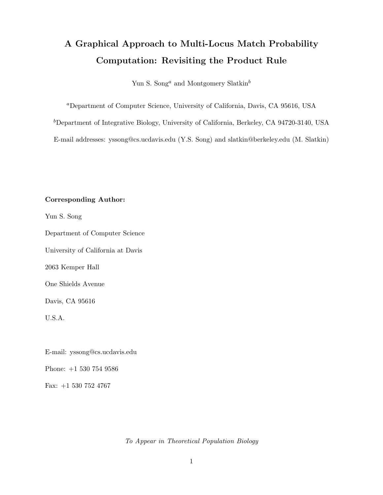# A Graphical Approach to Multi-Locus Match Probability Computation: Revisiting the Product Rule

Yun S. Song<sup>a</sup> and Montgomery Slatkin<sup>b</sup>

<sup>a</sup>Department of Computer Science, University of California, Davis, CA 95616, USA

 $b$ Department of Integrative Biology, University of California, Berkeley, CA 94720-3140, USA

E-mail addresses: yssong@cs.ucdavis.edu (Y.S. Song) and slatkin@berkeley.edu (M. Slatkin)

### Corresponding Author:

Yun S. Song

Department of Computer Science

University of California at Davis

2063 Kemper Hall

One Shields Avenue

Davis, CA 95616

U.S.A.

E-mail: yssong@cs.ucdavis.edu

Phone: +1 530 754 9586

Fax: +1 530 752 4767

To Appear in Theoretical Population Biology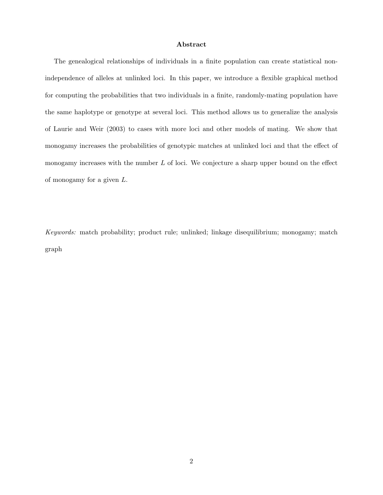#### Abstract

The genealogical relationships of individuals in a finite population can create statistical nonindependence of alleles at unlinked loci. In this paper, we introduce a flexible graphical method for computing the probabilities that two individuals in a finite, randomly-mating population have the same haplotype or genotype at several loci. This method allows us to generalize the analysis of Laurie and Weir (2003) to cases with more loci and other models of mating. We show that monogamy increases the probabilities of genotypic matches at unlinked loci and that the effect of monogamy increases with the number  $L$  of loci. We conjecture a sharp upper bound on the effect of monogamy for a given L.

Keywords: match probability; product rule; unlinked; linkage disequilibrium; monogamy; match graph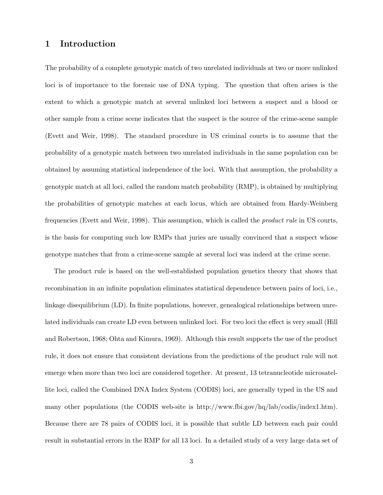# 1 Introduction

The probability of a complete genotypic match of two unrelated individuals at two or more unlinked loci is of importance to the forensic use of DNA typing. The question that often arises is the extent to which a genotypic match at several unlinked loci between a suspect and a blood or other sample from a crime scene indicates that the suspect is the source of the crime-scene sample (Evett and Weir, 1998). The standard procedure in US criminal courts is to assume that the probability of a genotypic match between two unrelated individuals in the same population can be obtained by assuming statistical independence of the loci. With that assumption, the probability a genotypic match at all loci, called the random match probability (RMP), is obtained by multiplying the probabilities of genotypic matches at each locus, which are obtained from Hardy-Weinberg frequencies (Evett and Weir, 1998). This assumption, which is called the product rule in US courts, is the basis for computing such low RMPs that juries are usually convinced that a suspect whose genotype matches that from a crime-scene sample at several loci was indeed at the crime scene.

The product rule is based on the well-established population genetics theory that shows that recombination in an infinite population eliminates statistical dependence between pairs of loci, i.e., linkage disequilibrium (LD). In finite populations, however, genealogical relationships between unrelated individuals can create LD even between unlinked loci. For two loci the effect is very small (Hill and Robertson, 1968; Ohta and Kimura, 1969). Although this result supports the use of the product rule, it does not ensure that consistent deviations from the predictions of the product rule will not emerge when more than two loci are considered together. At present, 13 tetranucleotide microsatellite loci, called the Combined DNA Index System (CODIS) loci, are generally typed in the US and many other populations (the CODIS web-site is http://www.fbi.gov/hq/lab/codis/index1.htm). Because there are 78 pairs of CODIS loci, it is possible that subtle LD between each pair could result in substantial errors in the RMP for all 13 loci. In a detailed study of a very large data set of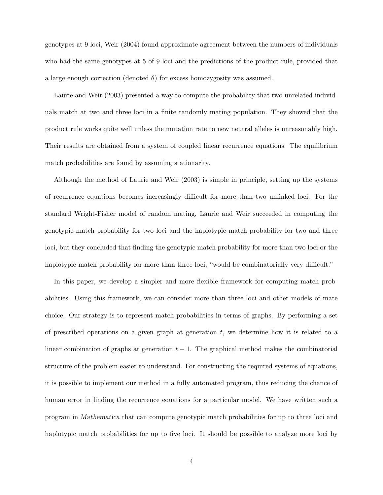genotypes at 9 loci, Weir (2004) found approximate agreement between the numbers of individuals who had the same genotypes at 5 of 9 loci and the predictions of the product rule, provided that a large enough correction (denoted  $\theta$ ) for excess homozygosity was assumed.

Laurie and Weir (2003) presented a way to compute the probability that two unrelated individuals match at two and three loci in a finite randomly mating population. They showed that the product rule works quite well unless the mutation rate to new neutral alleles is unreasonably high. Their results are obtained from a system of coupled linear recurrence equations. The equilibrium match probabilities are found by assuming stationarity.

Although the method of Laurie and Weir (2003) is simple in principle, setting up the systems of recurrence equations becomes increasingly difficult for more than two unlinked loci. For the standard Wright-Fisher model of random mating, Laurie and Weir succeeded in computing the genotypic match probability for two loci and the haplotypic match probability for two and three loci, but they concluded that finding the genotypic match probability for more than two loci or the haplotypic match probability for more than three loci, "would be combinatorially very difficult."

In this paper, we develop a simpler and more flexible framework for computing match probabilities. Using this framework, we can consider more than three loci and other models of mate choice. Our strategy is to represent match probabilities in terms of graphs. By performing a set of prescribed operations on a given graph at generation  $t$ , we determine how it is related to a linear combination of graphs at generation  $t - 1$ . The graphical method makes the combinatorial structure of the problem easier to understand. For constructing the required systems of equations, it is possible to implement our method in a fully automated program, thus reducing the chance of human error in finding the recurrence equations for a particular model. We have written such a program in Mathematica that can compute genotypic match probabilities for up to three loci and haplotypic match probabilities for up to five loci. It should be possible to analyze more loci by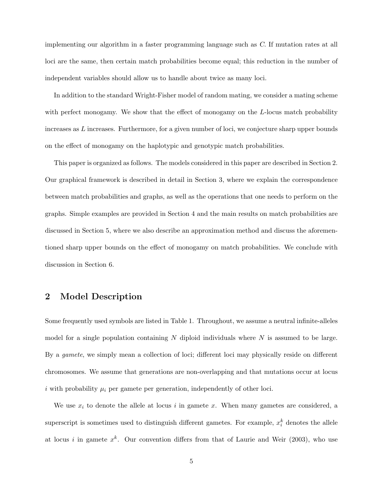implementing our algorithm in a faster programming language such as C. If mutation rates at all loci are the same, then certain match probabilities become equal; this reduction in the number of independent variables should allow us to handle about twice as many loci.

In addition to the standard Wright-Fisher model of random mating, we consider a mating scheme with perfect monogamy. We show that the effect of monogamy on the L-locus match probability increases as L increases. Furthermore, for a given number of loci, we conjecture sharp upper bounds on the effect of monogamy on the haplotypic and genotypic match probabilities.

This paper is organized as follows. The models considered in this paper are described in Section 2. Our graphical framework is described in detail in Section 3, where we explain the correspondence between match probabilities and graphs, as well as the operations that one needs to perform on the graphs. Simple examples are provided in Section 4 and the main results on match probabilities are discussed in Section 5, where we also describe an approximation method and discuss the aforementioned sharp upper bounds on the effect of monogamy on match probabilities. We conclude with discussion in Section 6.

# 2 Model Description

Some frequently used symbols are listed in Table 1. Throughout, we assume a neutral infinite-alleles model for a single population containing N diploid individuals where  $N$  is assumed to be large. By a gamete, we simply mean a collection of loci; different loci may physically reside on different chromosomes. We assume that generations are non-overlapping and that mutations occur at locus i with probability  $\mu_i$  per gamete per generation, independently of other loci.

We use  $x_i$  to denote the allele at locus i in gamete x. When many gametes are considered, a superscript is sometimes used to distinguish different gametes. For example,  $x_i^k$  denotes the allele at locus *i* in gamete  $x^k$ . Our convention differs from that of Laurie and Weir (2003), who use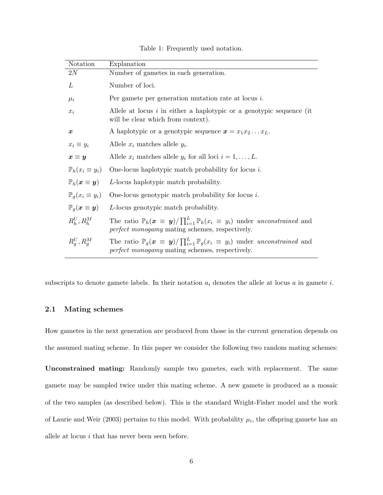| Notation                             | Explanation                                                                                                                                                                                |
|--------------------------------------|--------------------------------------------------------------------------------------------------------------------------------------------------------------------------------------------|
| 2N                                   | Number of gametes in each generation.                                                                                                                                                      |
| L                                    | Number of loci.                                                                                                                                                                            |
| $\mu_i$                              | Per gamete per generation mutation rate at locus $i$ .                                                                                                                                     |
| $x_i$                                | Allele at locus $i$ in either a haplotypic or a genotypic sequence (it<br>will be clear which from context).                                                                               |
| $\boldsymbol{x}$                     | A haplotypic or a genotypic sequence $x = x_1 x_2 \dots x_L$ .                                                                                                                             |
| $x_i \equiv y_i$                     | Allele $x_i$ matches allele $y_i$ .                                                                                                                                                        |
| $x \equiv y$                         | Allele $x_i$ matches allele $y_i$ for all loci $i = 1, , L$ .                                                                                                                              |
| $\mathbb{P}_h(x_i \equiv y_i)$       | One-locus haplotypic match probability for locus $i$ .                                                                                                                                     |
| $\mathbb{P}_h(x \equiv y)$           | L-locus haplotypic match probability.                                                                                                                                                      |
| $\mathbb{P}_q(x_i \equiv y_i)$       | One-locus genotypic match probability for locus $i$ .                                                                                                                                      |
| $\mathbb{P}_q(\bm{x} \equiv \bm{y})$ | L-locus genotypic match probability.                                                                                                                                                       |
| $R_k^U, R_h^M$                       | The ratio $\mathbb{P}_h(x \equiv y)/\prod_{i=1}^L \mathbb{P}_h(x_i \equiv y_i)$ under unconstrained and<br><i>perfect monogamy</i> mating schemes, respectively.                           |
| $R_q^U, R_q^M$                       | The ratio $\mathbb{P}_g(\boldsymbol{x} \equiv \boldsymbol{y})/\prod_{i=1}^L \mathbb{P}_g(x_i \equiv y_i)$ under unconstrained and<br><i>perfect monogamy</i> mating schemes, respectively. |

Table 1: Frequently used notation.

subscripts to denote gamete labels. In their notation  $a_i$  denotes the allele at locus  $a$  in gamete  $i$ .

### 2.1 Mating schemes

How gametes in the next generation are produced from those in the current generation depends on the assumed mating scheme. In this paper we consider the following two random mating schemes:

Unconstrained mating: Randomly sample two gametes, each with replacement. The same gamete may be sampled twice under this mating scheme. A new gamete is produced as a mosaic of the two samples (as described below). This is the standard Wright-Fisher model and the work of Laurie and Weir (2003) pertains to this model. With probability  $\mu_i$ , the offspring gamete has an allele at locus  $i$  that has never been seen before.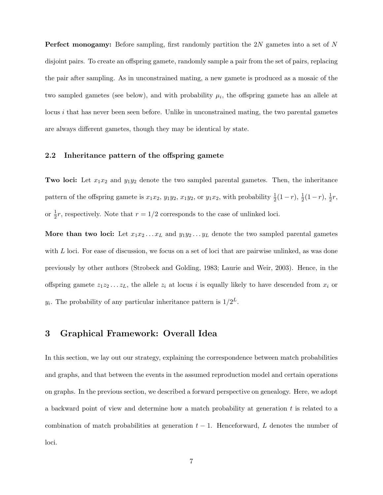Perfect monogamy: Before sampling, first randomly partition the 2N gametes into a set of N disjoint pairs. To create an offspring gamete, randomly sample a pair from the set of pairs, replacing the pair after sampling. As in unconstrained mating, a new gamete is produced as a mosaic of the two sampled gametes (see below), and with probability  $\mu_i$ , the offspring gamete has an allele at locus i that has never been seen before. Unlike in unconstrained mating, the two parental gametes are always different gametes, though they may be identical by state.

#### 2.2 Inheritance pattern of the offspring gamete

**Two loci:** Let  $x_1x_2$  and  $y_1y_2$  denote the two sampled parental gametes. Then, the inheritance pattern of the offspring gamete is  $x_1x_2$ ,  $y_1y_2$ ,  $x_1y_2$ , or  $y_1x_2$ , with probability  $\frac{1}{2}(1-r)$ ,  $\frac{1}{2}(1-r)$ ,  $\frac{1}{2}r$ , or  $\frac{1}{2}r$ , respectively. Note that  $r = 1/2$  corresponds to the case of unlinked loci.

More than two loci: Let  $x_1x_2...x_L$  and  $y_1y_2...y_L$  denote the two sampled parental gametes with  $L$  loci. For ease of discussion, we focus on a set of loci that are pairwise unlinked, as was done previously by other authors (Strobeck and Golding, 1983; Laurie and Weir, 2003). Hence, in the offspring gamete  $z_1z_2 \ldots z_L$ , the allele  $z_i$  at locus i is equally likely to have descended from  $x_i$  or  $y_i$ . The probability of any particular inheritance pattern is  $1/2^L$ .

### 3 Graphical Framework: Overall Idea

In this section, we lay out our strategy, explaining the correspondence between match probabilities and graphs, and that between the events in the assumed reproduction model and certain operations on graphs. In the previous section, we described a forward perspective on genealogy. Here, we adopt a backward point of view and determine how a match probability at generation t is related to a combination of match probabilities at generation  $t - 1$ . Henceforward, L denotes the number of loci.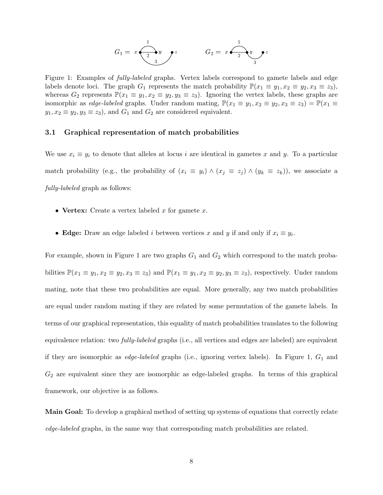$$
G_1 = x \underbrace{\begin{array}{c} 1 \\ 2 \end{array}}_{3} y \qquad z \qquad G_2 = x \underbrace{\begin{array}{c} 1 \\ 2 \end{array}}_{3} y \qquad z
$$

Figure 1: Examples of *fully-labeled* graphs. Vertex labels correspond to gamete labels and edge labels denote loci. The graph  $G_1$  represents the match probability  $\mathbb{P}(x_1 \equiv y_1, x_2 \equiv y_2, x_3 \equiv z_3)$ , whereas  $G_2$  represents  $\mathbb{P}(x_1 \equiv y_1, x_2 \equiv y_2, y_3 \equiv z_3)$ . Ignoring the vertex labels, these graphs are isomorphic as *edge-labeled* graphs. Under random mating,  $\mathbb{P}(x_1 \equiv y_1, x_2 \equiv y_2, x_3 \equiv z_3) = \mathbb{P}(x_1 \equiv z_3)$  $y_1, x_2 \equiv y_2, y_3 \equiv z_3$ , and  $G_1$  and  $G_2$  are considered equivalent.

#### 3.1 Graphical representation of match probabilities

We use  $x_i \equiv y_i$  to denote that alleles at locus i are identical in gametes x and y. To a particular match probability (e.g., the probability of  $(x_i \equiv y_i) \wedge (x_j \equiv z_j) \wedge (y_k \equiv z_k)$ ), we associate a fully-labeled graph as follows:

- Vertex: Create a vertex labeled x for gamete x.
- Edge: Draw an edge labeled *i* between vertices x and y if and only if  $x_i \equiv y_i$ .

For example, shown in Figure 1 are two graphs  $G_1$  and  $G_2$  which correspond to the match probabilities  $\mathbb{P}(x_1 \equiv y_1, x_2 \equiv y_2, x_3 \equiv z_3)$  and  $\mathbb{P}(x_1 \equiv y_1, x_2 \equiv y_2, y_3 \equiv z_3)$ , respectively. Under random mating, note that these two probabilities are equal. More generally, any two match probabilities are equal under random mating if they are related by some permutation of the gamete labels. In terms of our graphical representation, this equality of match probabilities translates to the following equivalence relation: two fully-labeled graphs (i.e., all vertices and edges are labeled) are equivalent if they are isomorphic as *edge-labeled* graphs (i.e., ignoring vertex labels). In Figure 1,  $G_1$  and  $G_2$  are equivalent since they are isomorphic as edge-labeled graphs. In terms of this graphical framework, our objective is as follows.

Main Goal: To develop a graphical method of setting up systems of equations that correctly relate edge-labeled graphs, in the same way that corresponding match probabilities are related.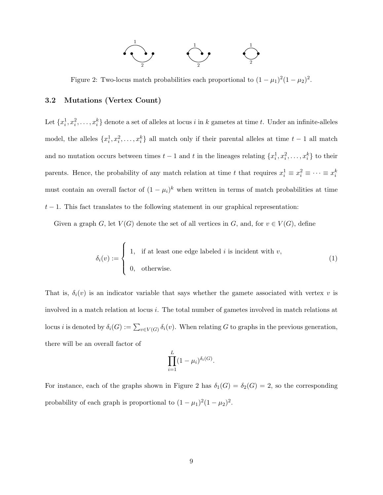

Figure 2: Two-locus match probabilities each proportional to  $(1 - \mu_1)^2 (1 - \mu_2)^2$ .

#### 3.2 Mutations (Vertex Count)

Let  $\{x_i^1, x_i^2, \ldots, x_i^k\}$  denote a set of alleles at locus *i* in *k* gametes at time *t*. Under an infinite-alleles model, the alleles  $\{x_i^1, x_i^2, \ldots, x_i^k\}$  all match only if their parental alleles at time  $t-1$  all match and no mutation occurs between times  $t-1$  and t in the lineages relating  $\{x_i^1, x_i^2, \ldots, x_i^k\}$  to their parents. Hence, the probability of any match relation at time t that requires  $x_i^1 \equiv x_i^2 \equiv \cdots \equiv x_i^k$ must contain an overall factor of  $(1 - \mu_i)^k$  when written in terms of match probabilities at time  $t-1$ . This fact translates to the following statement in our graphical representation:

Given a graph  $G$ , let  $V(G)$  denote the set of all vertices in  $G$ , and, for  $v \in V(G)$ , define

$$
\delta_i(v) := \begin{cases} 1, & \text{if at least one edge labeled } i \text{ is incident with } v, \\ 0, & \text{otherwise.} \end{cases}
$$
 (1)

That is,  $\delta_i(v)$  is an indicator variable that says whether the gamete associated with vertex v is involved in a match relation at locus i. The total number of gametes involved in match relations at locus *i* is denoted by  $\delta_i(G) := \sum_{v \in V(G)} \delta_i(v)$ . When relating G to graphs in the previous generation, there will be an overall factor of

$$
\prod_{i=1}^{L} (1 - \mu_i)^{\delta_i(G)}.
$$

For instance, each of the graphs shown in Figure 2 has  $\delta_1(G) = \delta_2(G) = 2$ , so the corresponding probability of each graph is proportional to  $(1 - \mu_1)^2 (1 - \mu_2)^2$ .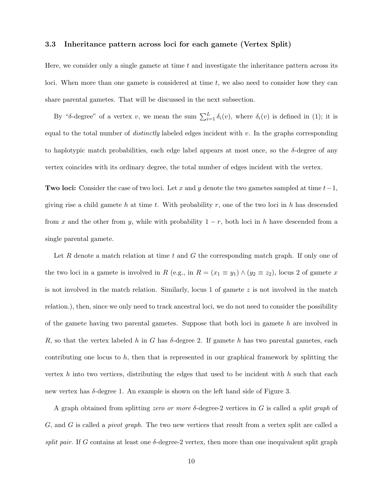#### 3.3 Inheritance pattern across loci for each gamete (Vertex Split)

Here, we consider only a single gamete at time  $t$  and investigate the inheritance pattern across its loci. When more than one gamete is considered at time  $t$ , we also need to consider how they can share parental gametes. That will be discussed in the next subsection.

By "δ-degree" of a vertex v, we mean the sum  $\sum_{i=1}^{L} \delta_i(v)$ , where  $\delta_i(v)$  is defined in (1); it is equal to the total number of *distinctly* labeled edges incident with  $v$ . In the graphs corresponding to haplotypic match probabilities, each edge label appears at most once, so the  $\delta$ -degree of any vertex coincides with its ordinary degree, the total number of edges incident with the vertex.

Two loci: Consider the case of two loci. Let x and y denote the two gametes sampled at time  $t-1$ , giving rise a child gamete h at time t. With probability r, one of the two loci in h has descended from x and the other from y, while with probability  $1 - r$ , both loci in h have descended from a single parental gamete.

Let R denote a match relation at time t and G the corresponding match graph. If only one of the two loci in a gamete is involved in R (e.g., in  $R = (x_1 \equiv y_1) \wedge (y_2 \equiv z_2)$ , locus 2 of gamete x is not involved in the match relation. Similarly, locus 1 of gamete  $z$  is not involved in the match relation.), then, since we only need to track ancestral loci, we do not need to consider the possibility of the gamete having two parental gametes. Suppose that both loci in gamete  $h$  are involved in R, so that the vertex labeled h in G has  $\delta$ -degree 2. If gamete h has two parental gametes, each contributing one locus to  $h$ , then that is represented in our graphical framework by splitting the vertex h into two vertices, distributing the edges that used to be incident with h such that each new vertex has  $\delta$ -degree 1. An example is shown on the left hand side of Figure 3.

A graph obtained from splitting zero or more  $\delta$ -degree-2 vertices in G is called a split graph of G, and G is called a pivot graph. The two new vertices that result from a vertex split are called a split pair. If G contains at least one  $\delta$ -degree-2 vertex, then more than one inequivalent split graph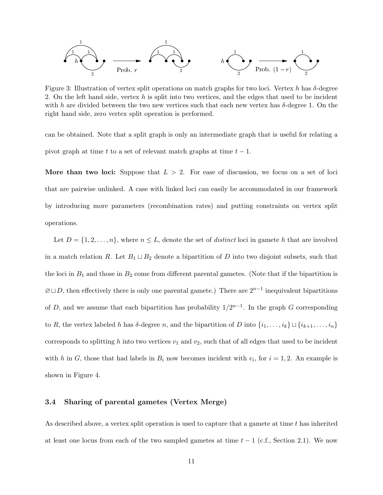

Figure 3: Illustration of vertex split operations on match graphs for two loci. Vertex h has  $\delta$ -degree 2. On the left hand side, vertex h is split into two vertices, and the edges that used to be incident with h are divided between the two new vertices such that each new vertex has  $\delta$ -degree 1. On the right hand side, zero vertex split operation is performed.

can be obtained. Note that a split graph is only an intermediate graph that is useful for relating a pivot graph at time t to a set of relevant match graphs at time  $t - 1$ .

More than two loci: Suppose that  $L > 2$ . For ease of discussion, we focus on a set of loci that are pairwise unlinked. A case with linked loci can easily be accommodated in our framework by introducing more parameters (recombination rates) and putting constraints on vertex split operations.

Let  $D = \{1, 2, \ldots, n\}$ , where  $n \leq L$ , denote the set of *distinct* loci in gamete h that are involved in a match relation R. Let  $B_1 \sqcup B_2$  denote a bipartition of D into two disjoint subsets, such that the loci in  $B_1$  and those in  $B_2$  come from different parental gametes. (Note that if the bipartition is  $\emptyset \sqcup D$ , then effectively there is only one parental gamete.) There are  $2^{n-1}$  inequivalent bipartitions of D, and we assume that each bipartition has probability  $1/2^{n-1}$ . In the graph G corresponding to R, the vertex labeled h has  $\delta$ -degree n, and the bipartition of D into  $\{i_1, \ldots, i_k\} \sqcup \{i_{k+1}, \ldots, i_n\}$ corresponds to splitting h into two vertices  $v_1$  and  $v_2$ , such that of all edges that used to be incident with h in G, those that had labels in  $B_i$  now becomes incident with  $v_i$ , for  $i = 1, 2$ . An example is shown in Figure 4.

#### 3.4 Sharing of parental gametes (Vertex Merge)

As described above, a vertex split operation is used to capture that a gamete at time  $t$  has inherited at least one locus from each of the two sampled gametes at time  $t - 1$  (c.f., Section 2.1). We now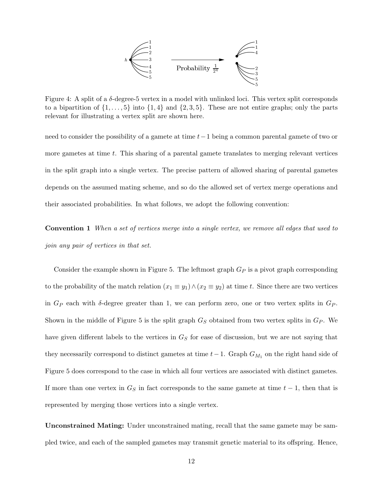

Figure 4: A split of a  $\delta$ -degree-5 vertex in a model with unlinked loci. This vertex split corresponds to a bipartition of  $\{1, \ldots, 5\}$  into  $\{1, 4\}$  and  $\{2, 3, 5\}$ . These are not entire graphs; only the parts relevant for illustrating a vertex split are shown here.

need to consider the possibility of a gamete at time  $t-1$  being a common parental gamete of two or more gametes at time  $t$ . This sharing of a parental gamete translates to merging relevant vertices in the split graph into a single vertex. The precise pattern of allowed sharing of parental gametes depends on the assumed mating scheme, and so do the allowed set of vertex merge operations and their associated probabilities. In what follows, we adopt the following convention:

Convention 1 When a set of vertices merge into a single vertex, we remove all edges that used to join any pair of vertices in that set.

Consider the example shown in Figure 5. The leftmost graph  $G_P$  is a pivot graph corresponding to the probability of the match relation  $(x_1 \equiv y_1) \wedge (x_2 \equiv y_2)$  at time t. Since there are two vertices in  $G_P$  each with  $\delta$ -degree greater than 1, we can perform zero, one or two vertex splits in  $G_P$ . Shown in the middle of Figure 5 is the split graph  $G<sub>S</sub>$  obtained from two vertex splits in  $G<sub>P</sub>$ . We have given different labels to the vertices in  $G<sub>S</sub>$  for ease of discussion, but we are not saying that they necessarily correspond to distinct gametes at time  $t-1$ . Graph  $G_{M_1}$  on the right hand side of Figure 5 does correspond to the case in which all four vertices are associated with distinct gametes. If more than one vertex in  $G<sub>S</sub>$  in fact corresponds to the same gamete at time  $t-1$ , then that is represented by merging those vertices into a single vertex.

Unconstrained Mating: Under unconstrained mating, recall that the same gamete may be sampled twice, and each of the sampled gametes may transmit genetic material to its offspring. Hence,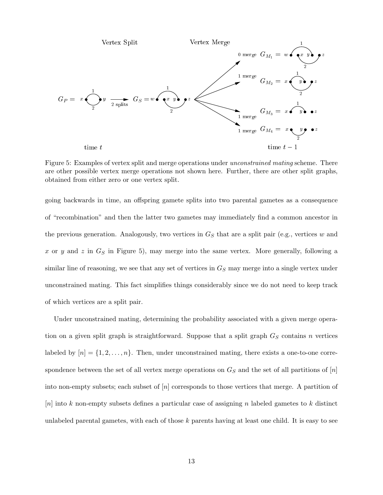

Figure 5: Examples of vertex split and merge operations under unconstrained mating scheme. There are other possible vertex merge operations not shown here. Further, there are other split graphs, obtained from either zero or one vertex split.

going backwards in time, an offspring gamete splits into two parental gametes as a consequence of "recombination" and then the latter two gametes may immediately find a common ancestor in the previous generation. Analogously, two vertices in  $G<sub>S</sub>$  that are a split pair (e.g., vertices w and x or y and z in  $G<sub>S</sub>$  in Figure 5), may merge into the same vertex. More generally, following a similar line of reasoning, we see that any set of vertices in  $G<sub>S</sub>$  may merge into a single vertex under unconstrained mating. This fact simplifies things considerably since we do not need to keep track of which vertices are a split pair.

Under unconstrained mating, determining the probability associated with a given merge operation on a given split graph is straightforward. Suppose that a split graph  $G<sub>S</sub>$  contains n vertices labeled by  $[n] = \{1, 2, \ldots, n\}$ . Then, under unconstrained mating, there exists a one-to-one correspondence between the set of all vertex merge operations on  $G<sub>S</sub>$  and the set of all partitions of  $[n]$ into non-empty subsets; each subset of  $[n]$  corresponds to those vertices that merge. A partition of  $[n]$  into k non-empty subsets defines a particular case of assigning n labeled gametes to k distinct unlabeled parental gametes, with each of those k parents having at least one child. It is easy to see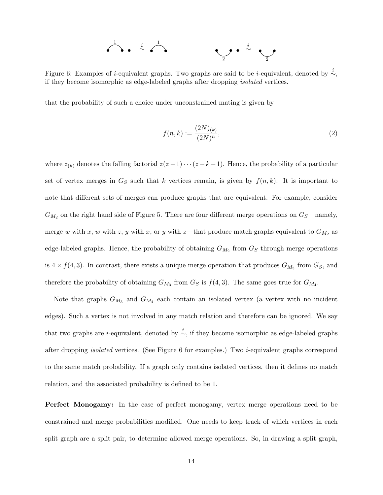

Figure 6: Examples of *i*-equivalent graphs. Two graphs are said to be *i*-equivalent, denoted by  $\stackrel{i}{\sim}$ , if they become isomorphic as edge-labeled graphs after dropping isolated vertices.

that the probability of such a choice under unconstrained mating is given by

$$
f(n,k) := \frac{(2N)_{(k)}}{(2N)^n},\tag{2}
$$

where  $z_{(k)}$  denotes the falling factorial  $z(z-1)\cdots(z-k+1)$ . Hence, the probability of a particular set of vertex merges in  $G<sub>S</sub>$  such that k vertices remain, is given by  $f(n, k)$ . It is important to note that different sets of merges can produce graphs that are equivalent. For example, consider  $G_{M_2}$  on the right hand side of Figure 5. There are four different merge operations on  $G_S$ —namely, merge w with x, w with z, y with x, or y with z—that produce match graphs equivalent to  $G_{M_2}$  as edge-labeled graphs. Hence, the probability of obtaining  $G_{M_2}$  from  $G_S$  through merge operations is  $4 \times f(4,3)$ . In contrast, there exists a unique merge operation that produces  $G_{M_3}$  from  $G_S$ , and therefore the probability of obtaining  $G_{M_3}$  from  $G_S$  is  $f(4,3)$ . The same goes true for  $G_{M_4}$ .

Note that graphs  $G_{M_3}$  and  $G_{M_4}$  each contain an isolated vertex (a vertex with no incident edges). Such a vertex is not involved in any match relation and therefore can be ignored. We say that two graphs are *i*-equivalent, denoted by  $\sim$ , if they become isomorphic as edge-labeled graphs after dropping isolated vertices. (See Figure 6 for examples.) Two i-equivalent graphs correspond to the same match probability. If a graph only contains isolated vertices, then it defines no match relation, and the associated probability is defined to be 1.

Perfect Monogamy: In the case of perfect monogamy, vertex merge operations need to be constrained and merge probabilities modified. One needs to keep track of which vertices in each split graph are a split pair, to determine allowed merge operations. So, in drawing a split graph,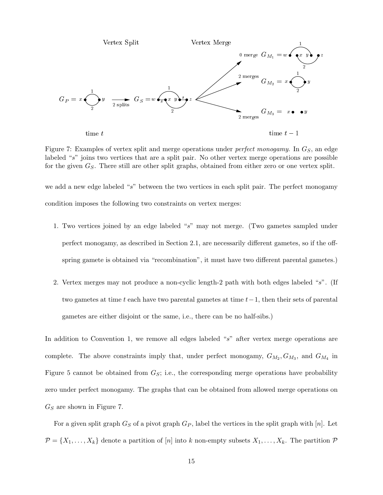

Figure 7: Examples of vertex split and merge operations under *perfect monogamy*. In  $G<sub>S</sub>$ , an edge labeled "s" joins two vertices that are a split pair. No other vertex merge operations are possible for the given  $G<sub>S</sub>$ . There still are other split graphs, obtained from either zero or one vertex split.

we add a new edge labeled "s" between the two vertices in each split pair. The perfect monogamy condition imposes the following two constraints on vertex merges:

- 1. Two vertices joined by an edge labeled "s" may not merge. (Two gametes sampled under perfect monogamy, as described in Section 2.1, are necessarily different gametes, so if the offspring gamete is obtained via "recombination", it must have two different parental gametes.)
- 2. Vertex merges may not produce a non-cyclic length-2 path with both edges labeled "s". (If two gametes at time t each have two parental gametes at time  $t-1$ , then their sets of parental gametes are either disjoint or the same, i.e., there can be no half-sibs.)

In addition to Convention 1, we remove all edges labeled "s" after vertex merge operations are complete. The above constraints imply that, under perfect monogamy,  $G_{M_2}, G_{M_3}$ , and  $G_{M_4}$  in Figure 5 cannot be obtained from  $G<sub>S</sub>$ ; i.e., the corresponding merge operations have probability zero under perfect monogamy. The graphs that can be obtained from allowed merge operations on  $G<sub>S</sub>$  are shown in Figure 7.

For a given split graph  $G_S$  of a pivot graph  $G_P$ , label the vertices in the split graph with [n]. Let  $\mathcal{P} = \{X_1, \ldots, X_k\}$  denote a partition of [n] into k non-empty subsets  $X_1, \ldots, X_k$ . The partition  $\mathcal{P}$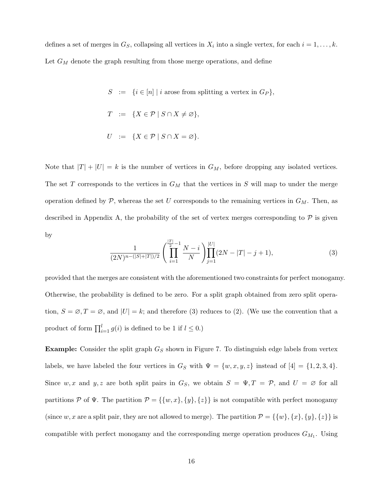defines a set of merges in  $G_S$ , collapsing all vertices in  $X_i$  into a single vertex, for each  $i = 1, \ldots, k$ . Let  $G_M$  denote the graph resulting from those merge operations, and define

> $S \ \ := \ \{ i \in [n] \mid i \text{ arose from splitting a vertex in } G_P \},$  $T \coloneqq \{ X \in \mathcal{P} \mid S \cap X \neq \varnothing \},$  $U := \{ X \in \mathcal{P} \mid S \cap X = \varnothing \}.$

Note that  $|T| + |U| = k$  is the number of vertices in  $G_M$ , before dropping any isolated vertices. The set T corresponds to the vertices in  $G_M$  that the vertices in S will map to under the merge operation defined by  $P$ , whereas the set U corresponds to the remaining vertices in  $G_M$ . Then, as described in Appendix A, the probability of the set of vertex merges corresponding to  $\mathcal P$  is given by

$$
\frac{1}{(2N)^{n-(|S|+|T|)/2}} \left( \prod_{i=1}^{\lfloor T \rfloor -1} \frac{N-i}{N} \right) \prod_{j=1}^{|U|} (2N-|T|-j+1), \tag{3}
$$

provided that the merges are consistent with the aforementioned two constraints for perfect monogamy. Otherwise, the probability is defined to be zero. For a split graph obtained from zero split operation,  $S = \emptyset$ ,  $T = \emptyset$ , and  $|U| = k$ ; and therefore (3) reduces to (2). (We use the convention that a product of form  $\prod_{i=1}^{l} g(i)$  is defined to be 1 if  $l \leq 0$ .)

**Example:** Consider the split graph  $G<sub>S</sub>$  shown in Figure 7. To distinguish edge labels from vertex labels, we have labeled the four vertices in  $G_S$  with  $\Psi = \{w, x, y, z\}$  instead of  $[4] = \{1, 2, 3, 4\}.$ Since w, x and y, z are both split pairs in  $G_S$ , we obtain  $S = \Psi, T = \mathcal{P}$ , and  $U = \emptyset$  for all partitions P of  $\Psi$ . The partition  $P = \{\{w, x\}, \{y\}, \{z\}\}\$ is not compatible with perfect monogamy (since w, x are a split pair, they are not allowed to merge). The partition  $\mathcal{P} = \{\{w\}, \{x\}, \{y\}, \{z\}\}\$ is compatible with perfect monogamy and the corresponding merge operation produces  $G_{M_1}$ . Using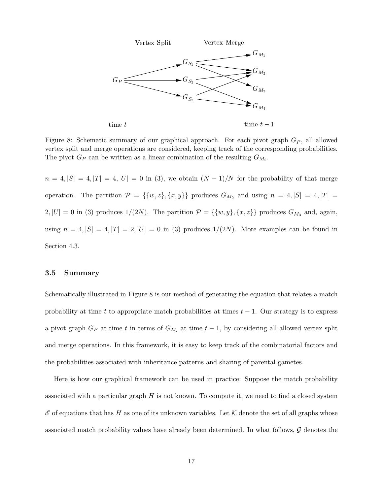

Figure 8: Schematic summary of our graphical approach. For each pivot graph  $G_P$ , all allowed vertex split and merge operations are considered, keeping track of the corresponding probabilities. The pivot  $G_P$  can be written as a linear combination of the resulting  $G_{M_i}$ .

 $n = 4, |S| = 4, |T| = 4, |U| = 0$  in (3), we obtain  $(N-1)/N$  for the probability of that merge operation. The partition  $\mathcal{P} = \{\{w, z\}, \{x, y\}\}\$  produces  $G_{M_2}$  and using  $n = 4, |S| = 4, |T| = 1$  $2, |U| = 0$  in (3) produces  $1/(2N)$ . The partition  $\mathcal{P} = \{\{w, y\}, \{x, z\}\}\$  produces  $G_{M_3}$  and, again, using  $n = 4, |S| = 4, |T| = 2, |U| = 0$  in (3) produces  $1/(2N)$ . More examples can be found in Section 4.3.

#### 3.5 Summary

Schematically illustrated in Figure 8 is our method of generating the equation that relates a match probability at time t to appropriate match probabilities at times  $t - 1$ . Our strategy is to express a pivot graph  $G_P$  at time t in terms of  $G_{M_i}$  at time  $t-1$ , by considering all allowed vertex split and merge operations. In this framework, it is easy to keep track of the combinatorial factors and the probabilities associated with inheritance patterns and sharing of parental gametes.

Here is how our graphical framework can be used in practice: Suppose the match probability associated with a particular graph  $H$  is not known. To compute it, we need to find a closed system  $\mathscr E$  of equations that has H as one of its unknown variables. Let K denote the set of all graphs whose associated match probability values have already been determined. In what follows,  $\mathcal G$  denotes the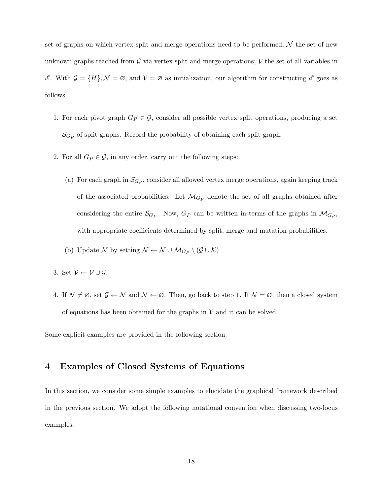set of graphs on which vertex split and merge operations need to be performed;  $\mathcal N$  the set of new unknown graphs reached from  $G$  via vertex split and merge operations;  $V$  the set of all variables in  $\mathscr{E}$ . With  $\mathcal{G} = \{H\}, \mathcal{N} = \emptyset$ , and  $\mathcal{V} = \emptyset$  as initialization, our algorithm for constructing  $\mathscr{E}$  goes as follows:

- 1. For each pivot graph  $G_P \in \mathcal{G}$ , consider all possible vertex split operations, producing a set  $\mathcal{S}_{G_P}$  of split graphs. Record the probability of obtaining each split graph.
- 2. For all  $G_P \in \mathcal{G}$ , in any order, carry out the following steps:
	- (a) For each graph in  $\mathcal{S}_{G_P}$ , consider all allowed vertex merge operations, again keeping track of the associated probabilities. Let  $\mathcal{M}_{G_P}$  denote the set of all graphs obtained after considering the entire  $\mathcal{S}_{G_P}$ . Now,  $G_P$  can be written in terms of the graphs in  $\mathcal{M}_{G_P}$ , with appropriate coefficients determined by split, merge and mutation probabilities.
	- (b) Update  $\mathcal N$  by setting  $\mathcal N \leftarrow \mathcal N \cup \mathcal M_{G_P} \setminus (\mathcal G \cup \mathcal K)$
- 3. Set  $\mathcal{V} \leftarrow \mathcal{V} \cup \mathcal{G}$ .
- 4. If  $\mathcal{N} \neq \emptyset$ , set  $\mathcal{G} \leftarrow \mathcal{N}$  and  $\mathcal{N} \leftarrow \emptyset$ . Then, go back to step 1. If  $\mathcal{N} = \emptyset$ , then a closed system of equations has been obtained for the graphs in  $V$  and it can be solved.

Some explicit examples are provided in the following section.

# 4 Examples of Closed Systems of Equations

In this section, we consider some simple examples to elucidate the graphical framework described in the previous section. We adopt the following notational convention when discussing two-locus examples: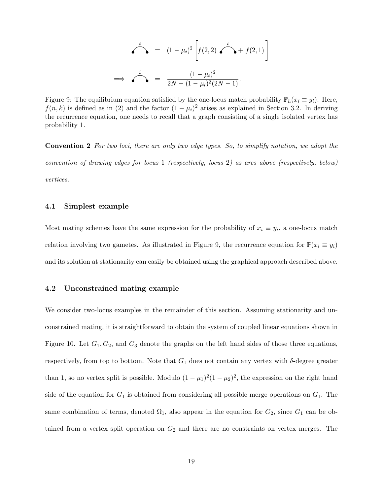$$
\sum_{i=1}^{i} (1 - \mu_i)^2 \left[ f(2, 2) \sum_{i=1}^{i} f(2, 1) \right]
$$
\n
$$
\Rightarrow \sum_{i=1}^{i} (1 - \mu_i)^2
$$
\n
$$
\Rightarrow \sum_{i=1}^{i} (1 - \mu_i)^2 (2N - 1)
$$

Figure 9: The equilibrium equation satisfied by the one-locus match probability  $\mathbb{P}_h(x_i \equiv y_i)$ . Here,  $f(n, k)$  is defined as in (2) and the factor  $(1 - \mu_i)^2$  arises as explained in Section 3.2. In deriving the recurrence equation, one needs to recall that a graph consisting of a single isolated vertex has probability 1.

Convention 2 For two loci, there are only two edge types. So, to simplify notation, we adopt the convention of drawing edges for locus 1 (respectively, locus 2) as arcs above (respectively, below) vertices.

#### 4.1 Simplest example

Most mating schemes have the same expression for the probability of  $x_i \equiv y_i$ , a one-locus match relation involving two gametes. As illustrated in Figure 9, the recurrence equation for  $\mathbb{P}(x_i \equiv y_i)$ and its solution at stationarity can easily be obtained using the graphical approach described above.

#### 4.2 Unconstrained mating example

We consider two-locus examples in the remainder of this section. Assuming stationarity and unconstrained mating, it is straightforward to obtain the system of coupled linear equations shown in Figure 10. Let  $G_1, G_2$ , and  $G_3$  denote the graphs on the left hand sides of those three equations, respectively, from top to bottom. Note that  $G_1$  does not contain any vertex with  $\delta$ -degree greater than 1, so no vertex split is possible. Modulo  $(1 - \mu_1)^2 (1 - \mu_2)^2$ , the expression on the right hand side of the equation for  $G_1$  is obtained from considering all possible merge operations on  $G_1$ . The same combination of terms, denoted  $\Omega_1$ , also appear in the equation for  $G_2$ , since  $G_1$  can be obtained from a vertex split operation on  $G_2$  and there are no constraints on vertex merges. The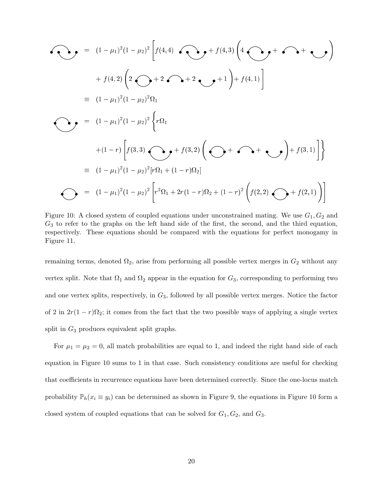<sup>=</sup> (1 1) (1 2) " <sup>f</sup> (4; 4) <sup>+</sup> <sup>f</sup> (4; 3) <sup>4</sup> <sup>+</sup> <sup>+</sup> ! <sup>+</sup> <sup>f</sup> (4; 2) <sup>2</sup> <sup>+</sup> <sup>2</sup> <sup>+</sup> <sup>2</sup> <sup>+</sup> <sup>1</sup> ! <sup>+</sup> <sup>f</sup> (4; 1) # (1 1) (1 2) <sup>1</sup> <sup>=</sup> (1 1) (1 2) ( +(1 r) " <sup>f</sup> (3; 3) <sup>+</sup> <sup>f</sup> (3; 2) <sup>+</sup> <sup>+</sup> ! <sup>+</sup> <sup>f</sup> (3; 1) #) (1 1) (1 2) [r <sup>1</sup> <sup>+</sup> (1 r) 2℄ <sup>=</sup> (1 1) (1 2) " <sup>1</sup> <sup>+</sup> 2r(1 r) <sup>2</sup> <sup>+</sup> (1 r) <sup>f</sup> (2; 2) <sup>+</sup> <sup>f</sup> (2; 1) !#

Figure 10: A closed system of coupled equations under unconstrained mating. We use  $G_1, G_2$  and  $G_3$  to refer to the graphs on the left hand side of the first, the second, and the third equation, respectively. These equations should be compared with the equations for perfect monogamy in Figure 11.

remaining terms, denoted  $\Omega_2$ , arise from performing all possible vertex merges in  $G_2$  without any vertex split. Note that  $\Omega_1$  and  $\Omega_2$  appear in the equation for  $G_3$ , corresponding to performing two and one vertex splits, respectively, in  $G_3$ , followed by all possible vertex merges. Notice the factor of 2 in  $2r(1 - r)\Omega_2$ ; it comes from the fact that the two possible ways of applying a single vertex split in  $G_3$  produces equivalent split graphs.

For  $\mu_1 = \mu_2 = 0$ , all match probabilities are equal to 1, and indeed the right hand side of each equation in Figure 10 sums to 1 in that case. Such consistency conditions are useful for checking that coefficients in recurrence equations have been determined correctly. Since the one-locus match probability  $\mathbb{P}_h(x_i \equiv y_i)$  can be determined as shown in Figure 9, the equations in Figure 10 form a closed system of coupled equations that can be solved for  $G_1, G_2$ , and  $G_3$ .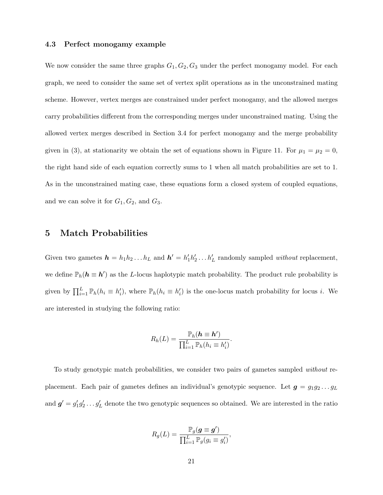#### 4.3 Perfect monogamy example

We now consider the same three graphs  $G_1, G_2, G_3$  under the perfect monogamy model. For each graph, we need to consider the same set of vertex split operations as in the unconstrained mating scheme. However, vertex merges are constrained under perfect monogamy, and the allowed merges carry probabilities different from the corresponding merges under unconstrained mating. Using the allowed vertex merges described in Section 3.4 for perfect monogamy and the merge probability given in (3), at stationarity we obtain the set of equations shown in Figure 11. For  $\mu_1 = \mu_2 = 0$ , the right hand side of each equation correctly sums to 1 when all match probabilities are set to 1. As in the unconstrained mating case, these equations form a closed system of coupled equations, and we can solve it for  $G_1, G_2$ , and  $G_3$ .

### 5 Match Probabilities

Given two gametes  $h = h_1 h_2 ... h_L$  and  $h' = h'_1 h'_2 ... h'_L$  randomly sampled *without* replacement, we define  $\mathbb{P}_h(h \equiv h')$  as the L-locus haplotypic match probability. The product rule probability is given by  $\prod_{i=1}^{L} \mathbb{P}_h(h_i \equiv h'_i)$ , where  $\mathbb{P}_h(h_i \equiv h'_i)$  is the one-locus match probability for locus *i*. We are interested in studying the following ratio:

$$
R_h(L) = \frac{\mathbb{P}_h(\mathbf{h} \equiv \mathbf{h}')}{\prod_{i=1}^L \mathbb{P}_h(h_i \equiv h'_i)}.
$$

To study genotypic match probabilities, we consider two pairs of gametes sampled without replacement. Each pair of gametes defines an individual's genotypic sequence. Let  $g = g_1 g_2 \dots g_L$ and  $g' = g'_1 g'_2 \dots g'_L$  denote the two genotypic sequences so obtained. We are interested in the ratio

$$
R_g(L) = \frac{\mathbb{P}_g(\mathbf{g} \equiv \mathbf{g}')}{\prod_{i=1}^L \mathbb{P}_g(g_i \equiv g'_i)},
$$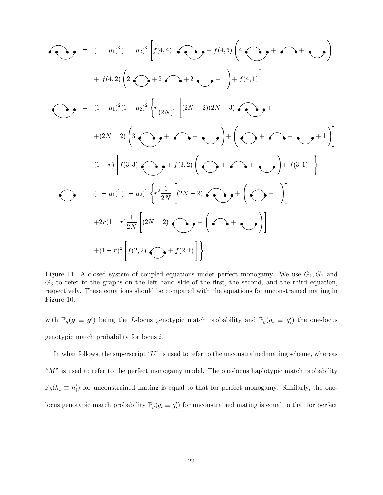$$
\begin{aligned}\n\bullet \bullet \bullet &= (1 - \mu_1)^2 (1 - \mu_2)^2 \left[ f(4, 4) \bullet \bullet \bullet \bullet + f(4, 3) \left( 4 \bullet \bullet \bullet + \bullet \bullet + \bullet \bullet \bullet \right) \right. \\
&\quad \left. + f(4, 2) \left( 2 \bullet \bullet + 2 \bullet \bullet + 2 \bullet \bullet + 1 \right) + f(4, 1) \right] \\
\bullet \bullet &= (1 - \mu_1)^2 (1 - \mu_2)^2 \left\{ r \frac{1}{(2N)^2} \left[ (2N - 2)(2N - 3) \bullet \bullet + \right. \\
&\quad \left. + (2N - 2) \left( 3 \bullet \bullet + \bullet \bullet + \bullet \bullet \right) \right] + \left( \bullet \bullet + \bullet \bullet + \bullet \bullet + 1 \right) \right] \\
&\quad (1 - r) \left[ f(3, 3) \bullet \bullet + f(3, 2) \left( \bullet + \bullet \bullet + \bullet \bullet \right) \right] + f(3, 1) \right] \\
\bullet \bullet &= (1 - \mu_1)^2 (1 - \mu_2)^2 \left\{ r^2 \frac{1}{2N} \left[ (2N - 2) \bullet \bullet + \left( \bullet + 1 \right) \right] \\
&\quad \left. + 2r (1 - r) \frac{1}{2N} \left[ (2N - 2) \bullet \bullet + \left( \bullet + \bullet \bullet \right) \right] \right. \\
&\quad \left. + (1 - r)^2 \left[ f(2, 2) \bullet + f(2, 1) \right] \right\}\n\end{aligned}
$$

Figure 11: A closed system of coupled equations under perfect monogamy. We use  $G_1, G_2$  and  $G_3$  to refer to the graphs on the left hand side of the first, the second, and the third equation, respectively. These equations should be compared with the equations for unconstrained mating in Figure 10.

with  $\mathbb{P}_g(g \equiv g')$  being the L-locus genotypic match probability and  $\mathbb{P}_g(g_i \equiv g'_i)$  the one-locus genotypic match probability for locus i.

In what follows, the superscript " $U$ " is used to refer to the unconstrained mating scheme, whereas " $M$ " is used to refer to the perfect monogamy model. The one-locus haplotypic match probability  $\mathbb{P}_h(h_i \equiv h'_i)$  for unconstrained mating is equal to that for perfect monogamy. Similarly, the onelocus genotypic match probability  $\mathbb{P}_g(g_i \equiv g'_i)$  for unconstrained mating is equal to that for perfect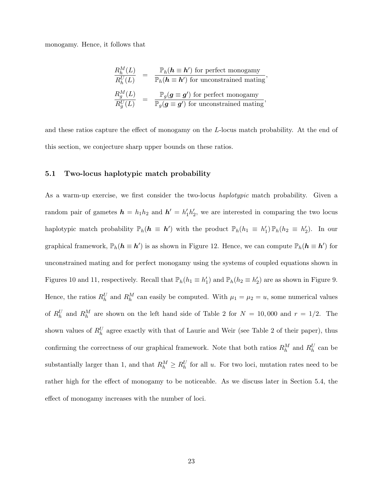monogamy. Hence, it follows that

$$
\frac{R_h^M(L)}{R_h^U(L)} = \frac{\mathbb{P}_h(\mathbf{h} \equiv \mathbf{h}') \text{ for perfect monogamy}}{\mathbb{P}_h(\mathbf{h} \equiv \mathbf{h}') \text{ for unconstrained mating}},
$$
\n
$$
\frac{R_g^M(L)}{R_g^U(L)} = \frac{\mathbb{P}_g(\mathbf{g} \equiv \mathbf{g}') \text{ for perfect monogamy}}{\mathbb{P}_g(\mathbf{g} \equiv \mathbf{g}') \text{ for unconstrained mating}},
$$

and these ratios capture the effect of monogamy on the L-locus match probability. At the end of this section, we conjecture sharp upper bounds on these ratios.

#### 5.1 Two-locus haplotypic match probability

As a warm-up exercise, we first consider the two-locus *haplotypic* match probability. Given a random pair of gametes  $h = h_1 h_2$  and  $h' = h'_1 h'_2$ , we are interested in comparing the two locus haplotypic match probability  $\mathbb{P}_h(h \equiv h')$  with the product  $\mathbb{P}_h(h_1 \equiv h'_1) \mathbb{P}_h(h_2 \equiv h'_2)$ . In our graphical framework,  $\mathbb{P}_h(h \equiv h')$  is as shown in Figure 12. Hence, we can compute  $\mathbb{P}_h(h \equiv h')$  for unconstrained mating and for perfect monogamy using the systems of coupled equations shown in Figures 10 and 11, respectively. Recall that  $\mathbb{P}_h(h_1 \equiv h'_1)$  and  $\mathbb{P}_h(h_2 \equiv h'_2)$  are as shown in Figure 9. Hence, the ratios  $R_h^U$  and  $R_h^M$  can easily be computed. With  $\mu_1 = \mu_2 = u$ , some numerical values of  $R_h^U$  and  $R_h^M$  are shown on the left hand side of Table 2 for  $N = 10,000$  and  $r = 1/2$ . The shown values of  $R_h^U$  agree exactly with that of Laurie and Weir (see Table 2 of their paper), thus confirming the correctness of our graphical framework. Note that both ratios  $R_h^M$  and  $R_h^U$  can be substantially larger than 1, and that  $R_h^M \ge R_h^U$  for all u. For two loci, mutation rates need to be rather high for the effect of monogamy to be noticeable. As we discuss later in Section 5.4, the effect of monogamy increases with the number of loci.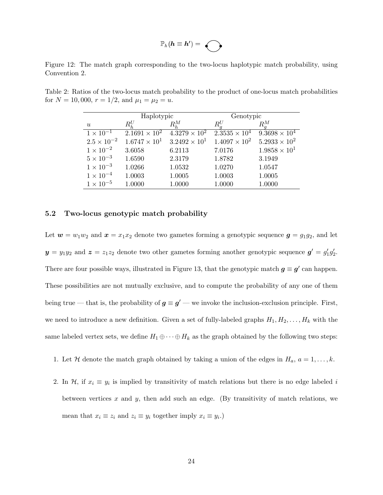$$
\mathbb{P}_h(h\equiv h') = \bigodot
$$

Figure 12: The match graph corresponding to the two-locus haplotypic match probability, using Convention 2.

|                      | Haplotypic             |                        | Genotypic              |                        |
|----------------------|------------------------|------------------------|------------------------|------------------------|
| $\boldsymbol{u}$     | $R_h^U$                | $R_h^M$                |                        | $R_a^M$                |
| $1 \times 10^{-1}$   | $2.1691 \times 10^{2}$ | $4.3279 \times 10^{2}$ | $2.3535 \times 10^{4}$ | $9.3698 \times 10^{4}$ |
| $2.5 \times 10^{-2}$ | $1.6747 \times 10^{1}$ | $3.2492 \times 10^{1}$ | $1.4097 \times 10^{2}$ | $5.2933 \times 10^{2}$ |
| $1 \times 10^{-2}$   | 3.6058                 | 6.2113                 | 7.0176                 | $1.9858 \times 10^{1}$ |
| $5 \times 10^{-3}$   | 1.6590                 | 2.3179                 | 1.8782                 | 3.1949                 |
| $1 \times 10^{-3}$   | 1.0266                 | 1.0532                 | 1.0270                 | 1.0547                 |
| $1 \times 10^{-4}$   | 1.0003                 | 1.0005                 | 1.0003                 | 1.0005                 |
| $1 \times 10^{-5}$   | 1.0000                 | 1.0000                 | 1.0000                 | 1.0000                 |

Table 2: Ratios of the two-locus match probability to the product of one-locus match probabilities for  $N = 10,000, r = 1/2,$  and  $\mu_1 = \mu_2 = u$ .

#### 5.2 Two-locus genotypic match probability

Let  $w = w_1w_2$  and  $x = x_1x_2$  denote two gametes forming a genotypic sequence  $g = g_1g_2$ , and let  $y = y_1 y_2$  and  $z = z_1 z_2$  denote two other gametes forming another genotypic sequence  $g' = g'_1 g'_2$ . There are four possible ways, illustrated in Figure 13, that the genotypic match  $g \equiv g'$  can happen. These possibilities are not mutually exclusive, and to compute the probability of any one of them being true — that is, the probability of  $g \equiv g'$  — we invoke the inclusion-exclusion principle. First, we need to introduce a new definition. Given a set of fully-labeled graphs  $H_1, H_2, \ldots, H_k$  with the same labeled vertex sets, we define  $H_1 \oplus \cdots \oplus H_k$  as the graph obtained by the following two steps:

- 1. Let H denote the match graph obtained by taking a union of the edges in  $H_a$ ,  $a = 1, ..., k$ .
- 2. In  $\mathcal{H}$ , if  $x_i \equiv y_i$  is implied by transitivity of match relations but there is no edge labeled i between vertices  $x$  and  $y$ , then add such an edge. (By transitivity of match relations, we mean that  $x_i \equiv z_i$  and  $z_i \equiv y_i$  together imply  $x_i \equiv y_i$ .)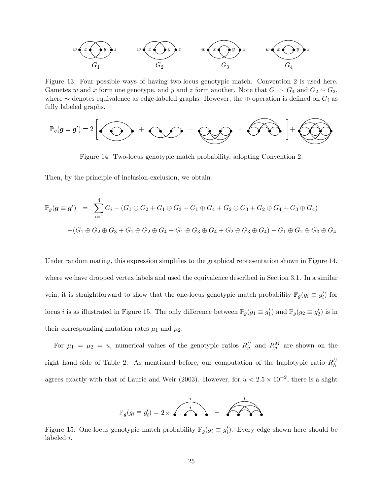

Figure 13: Four possible ways of having two-locus genotypic match. Convention 2 is used here. Gametes w and x form one genotype, and y and z form another. Note that  $G_1 \sim G_4$  and  $G_2 \sim G_3$ , where  $\sim$  denotes equivalence as edge-labeled graphs. However, the ⊕ operation is defined on  $G_i$  as fully labeled graphs.

$$
\mathbb{P}_g(g \equiv g') = 2 \left[ \bigodot + \bigodot - \bigodot - \bigodot - \widehat{\bigodot} \bigodot \right] + \bigodot
$$

Figure 14: Two-locus genotypic match probability, adopting Convention 2.

Then, by the principle of inclusion-exclusion, we obtain

$$
\mathbb{P}_g(\mathbf{g} \equiv \mathbf{g}') = \sum_{i=1}^4 G_i - (G_1 \oplus G_2 + G_1 \oplus G_3 + G_1 \oplus G_4 + G_2 \oplus G_3 + G_2 \oplus G_4 + G_3 \oplus G_4)
$$
  
+
$$
(G_1 \oplus G_2 \oplus G_3 + G_1 \oplus G_2 \oplus G_4 + G_1 \oplus G_3 \oplus G_4 + G_2 \oplus G_3 \oplus G_4) - G_1 \oplus G_2 \oplus G_3 \oplus G_4.
$$

Under random mating, this expression simplifies to the graphical representation shown in Figure 14, where we have dropped vertex labels and used the equivalence described in Section 3.1. In a similar vein, it is straightforward to show that the one-locus genotypic match probability  $\mathbb{P}_g(g_i \equiv g'_i)$  for locus *i* is as illustrated in Figure 15. The only difference between  $\mathbb{P}_g(g_1 \equiv g'_1)$  and  $\mathbb{P}_g(g_2 \equiv g'_2)$  is in their corresponding mutation rates  $\mu_1$  and  $\mu_2$ .

For  $\mu_1 = \mu_2 = u$ , numerical values of the genotypic ratios  $R_g^U$  and  $R_g^M$  are shown on the right hand side of Table 2. As mentioned before, our computation of the haplotypic ratio  $R_h^U$ agrees exactly with that of Laurie and Weir (2003). However, for  $u < 2.5 \times 10^{-2}$ , there is a slight



Figure 15: One-locus genotypic match probability  $\mathbb{P}_g(g_i \equiv g'_i)$ . Every edge shown here should be labeled i.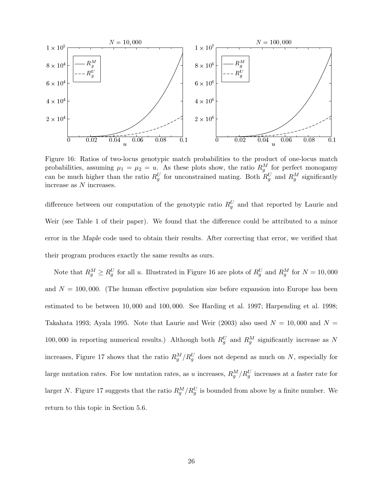

Figure 16: Ratios of two-locus genotypic match probabilities to the product of one-locus match probabilities, assuming  $\mu_1 = \mu_2 = u$ . As these plots show, the ratio  $R_g^M$  for perfect monogamy can be much higher than the ratio  $R_g^U$  for unconstrained mating. Both  $R_g^U$  and  $R_g^M$  significantly increase as N increases.

difference between our computation of the genotypic ratio  $R_g^U$  and that reported by Laurie and Weir (see Table 1 of their paper). We found that the difference could be attributed to a minor error in the Maple code used to obtain their results. After correcting that error, we verified that their program produces exactly the same results as ours.

Note that  $R_g^M \ge R_g^U$  for all u. Illustrated in Figure 16 are plots of  $R_g^U$  and  $R_g^M$  for  $N = 10,000$ and  $N = 100,000$ . (The human effective population size before expansion into Europe has been estimated to be between 10, 000 and 100, 000. See Harding et al. 1997; Harpending et al. 1998; Takahata 1993; Ayala 1995. Note that Laurie and Weir (2003) also used  $N = 10,000$  and  $N =$ 100,000 in reporting numerical results.) Although both  $R_g^U$  and  $R_g^M$  significantly increase as N increases, Figure 17 shows that the ratio  $R_g^M/R_g^U$  does not depend as much on N, especially for large mutation rates. For low mutation rates, as u increases,  $R_g^M/R_g^U$  increases at a faster rate for larger N. Figure 17 suggests that the ratio  $R_g^M/R_g^U$  is bounded from above by a finite number. We return to this topic in Section 5.6.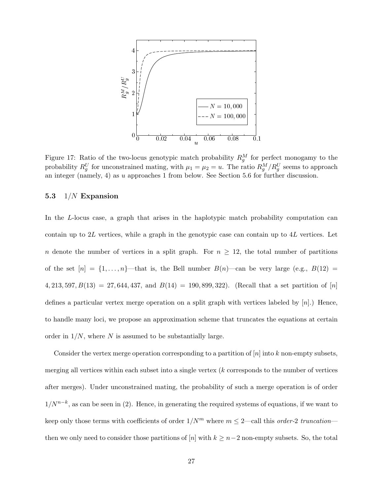

Figure 17: Ratio of the two-locus genotypic match probability  $R_g^M$  for perfect monogamy to the probability  $R_g^U$  for unconstrained mating, with  $\mu_1 = \mu_2 = u$ . The ratio  $R_g^M/R_g^U$  seems to approach an integer (namely, 4) as u approaches 1 from below. See Section 5.6 for further discussion.

#### 5.3  $1/N$  Expansion

In the L-locus case, a graph that arises in the haplotypic match probability computation can contain up to  $2L$  vertices, while a graph in the genotypic case can contain up to  $4L$  vertices. Let n denote the number of vertices in a split graph. For  $n \geq 12$ , the total number of partitions of the set  $[n] = \{1, \ldots, n\}$ —that is, the Bell number  $B(n)$ —can be very large (e.g.,  $B(12)$ ) 4, 213, 597,  $B(13) = 27,644,437$ , and  $B(14) = 190,899,322$ . (Recall that a set partition of [n] defines a particular vertex merge operation on a split graph with vertices labeled by  $[n]$ .) Hence, to handle many loci, we propose an approximation scheme that truncates the equations at certain order in  $1/N$ , where N is assumed to be substantially large.

Consider the vertex merge operation corresponding to a partition of  $[n]$  into k non-empty subsets, merging all vertices within each subset into a single vertex  $(k$  corresponds to the number of vertices after merges). Under unconstrained mating, the probability of such a merge operation is of order  $1/N^{n-k}$ , as can be seen in (2). Hence, in generating the required systems of equations, if we want to keep only those terms with coefficients of order  $1/N^m$  where  $m \leq 2$ —call this order-2 truncation then we only need to consider those partitions of [n] with  $k \geq n-2$  non-empty subsets. So, the total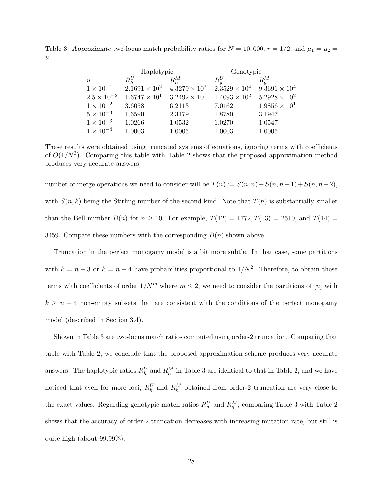Table 3: Approximate two-locus match probability ratios for  $N = 10,000$ ,  $r = 1/2$ , and  $\mu_1 = \mu_2 =$  $u$ .

|                      | Haplotypic             |                                               | Genotypic              |                        |
|----------------------|------------------------|-----------------------------------------------|------------------------|------------------------|
| $\boldsymbol{u}$     | $R_h^U$                | $R_h^M$                                       | $R_a^U$                | $R_a^M$                |
| $1 \times 10^{-1}$   | $2.1691 \times 10^{2}$ | $4.3279 \times 10^{2}$                        | $2.3529 \times 10^{4}$ | $9.3691 \times 10^{4}$ |
| $2.5 \times 10^{-2}$ |                        | $1.6747 \times 10^{1}$ $3.2492 \times 10^{1}$ | $1.4093 \times 10^{2}$ | $5.2928 \times 10^{2}$ |
| $1 \times 10^{-2}$   | 3.6058                 | 6.2113                                        | 7.0162                 | $1.9856 \times 10^{1}$ |
| $5 \times 10^{-3}$   | 1.6590                 | 2.3179                                        | 1.8780                 | 3.1947                 |
| $1 \times 10^{-3}$   | 1.0266                 | 1.0532                                        | 1.0270                 | 1.0547                 |
| $1 \times 10^{-4}$   | 1.0003                 | 1.0005                                        | 1.0003                 | 1.0005                 |

These results were obtained using truncated systems of equations, ignoring terms with coefficients of  $O(1/N^3)$ . Comparing this table with Table 2 shows that the proposed approximation method produces very accurate answers.

number of merge operations we need to consider will be  $T(n) := S(n,n) + S(n,n-1) + S(n,n-2)$ , with  $S(n, k)$  being the Stirling number of the second kind. Note that  $T(n)$  is substantially smaller than the Bell number  $B(n)$  for  $n \ge 10$ . For example,  $T(12) = 1772, T(13) = 2510$ , and  $T(14) =$ 3459. Compare these numbers with the corresponding  $B(n)$  shown above.

Truncation in the perfect monogamy model is a bit more subtle. In that case, some partitions with  $k = n - 3$  or  $k = n - 4$  have probabilities proportional to  $1/N^2$ . Therefore, to obtain those terms with coefficients of order  $1/N^m$  where  $m \leq 2$ , we need to consider the partitions of [n] with  $k \geq n-4$  non-empty subsets that are consistent with the conditions of the perfect monogamy model (described in Section 3.4).

Shown in Table 3 are two-locus match ratios computed using order-2 truncation. Comparing that table with Table 2, we conclude that the proposed approximation scheme produces very accurate answers. The haplotypic ratios  $R_h^U$  and  $R_h^M$  in Table 3 are identical to that in Table 2, and we have noticed that even for more loci,  $R_h^U$  and  $R_h^M$  obtained from order-2 truncation are very close to the exact values. Regarding genotypic match ratios  $R_g^U$  and  $R_g^M$ , comparing Table 3 with Table 2 shows that the accuracy of order-2 truncation decreases with increasing mutation rate, but still is quite high (about 99.99%).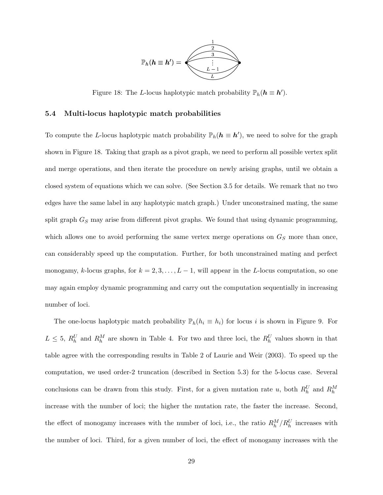

Figure 18: The L-locus haplotypic match probability  $\mathbb{P}_h(h \equiv h')$ .

#### 5.4 Multi-locus haplotypic match probabilities

To compute the L-locus haplotypic match probability  $\mathbb{P}_h(h \equiv h')$ , we need to solve for the graph shown in Figure 18. Taking that graph as a pivot graph, we need to perform all possible vertex split and merge operations, and then iterate the procedure on newly arising graphs, until we obtain a closed system of equations which we can solve. (See Section 3.5 for details. We remark that no two edges have the same label in any haplotypic match graph.) Under unconstrained mating, the same split graph  $G_S$  may arise from different pivot graphs. We found that using dynamic programming, which allows one to avoid performing the same vertex merge operations on  $G<sub>S</sub>$  more than once, can considerably speed up the computation. Further, for both unconstrained mating and perfect monogamy, k-locus graphs, for  $k = 2, 3, ..., L - 1$ , will appear in the L-locus computation, so one may again employ dynamic programming and carry out the computation sequentially in increasing number of loci.

The one-locus haplotypic match probability  $\mathbb{P}_h(h_i \equiv h_i)$  for locus i is shown in Figure 9. For  $L \leq 5$ ,  $R_h^U$  and  $R_h^M$  are shown in Table 4. For two and three loci, the  $R_h^U$  values shown in that table agree with the corresponding results in Table 2 of Laurie and Weir (2003). To speed up the computation, we used order-2 truncation (described in Section 5.3) for the 5-locus case. Several conclusions can be drawn from this study. First, for a given mutation rate u, both  $R_h^U$  and  $R_h^M$ increase with the number of loci; the higher the mutation rate, the faster the increase. Second, the effect of monogamy increases with the number of loci, i.e., the ratio  $R_h^M/R_h^U$  increases with the number of loci. Third, for a given number of loci, the effect of monogamy increases with the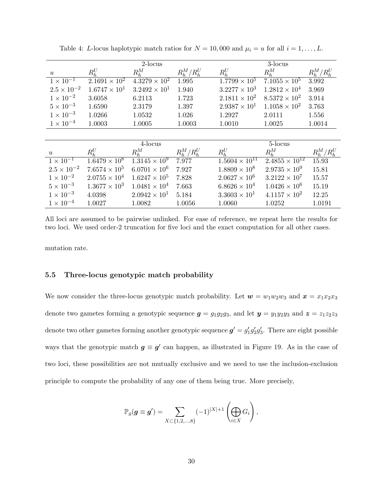|                      | 2-locus                |                                 |               |                         | 3-locus                 |               |  |
|----------------------|------------------------|---------------------------------|---------------|-------------------------|-------------------------|---------------|--|
| $\boldsymbol{u}$     | $R_{h}^{U}$            | $R_h^M$                         | $R_h^M/R_h^U$ | $R_{h}^{U}$             | $R_h^M$                 | $R_h^M/R_h^U$ |  |
| $1 \times 10^{-1}$   | $2.1691 \times 10^{2}$ | $4.3279 \times 10^{2}$          | 1.995         | $1.7799 \times 10^5$    | $7.1055 \times 10^{5}$  | 3.992         |  |
| $2.5 \times 10^{-2}$ | $1.6747 \times 10^{1}$ | $3.2492 \times 10^{1}$          | 1.940         | $3.2277 \times 10^{3}$  | $1.2812 \times 10^{4}$  | 3.969         |  |
| $1 \times 10^{-2}$   | 3.6058                 | 6.2113                          | 1.723         | $2.1811 \times 10^{2}$  | $8.5372 \times 10^{2}$  | 3.914         |  |
| $5 \times 10^{-3}$   | 1.6590                 | 2.3179                          | 1.397         | $2.9387 \times 10^{1}$  | $1.1058 \times 10^{2}$  | 3.763         |  |
| $1 \times 10^{-3}$   | 1.0266                 | 1.0532                          | 1.026         | 1.2927                  | 2.0111                  | 1.556         |  |
| $1 \times 10^{-4}$   | 1.0003                 | 1.0005                          | 1.0003        | 1.0010                  | 1.0025                  | 1.0014        |  |
|                      |                        |                                 |               |                         |                         |               |  |
|                      |                        | 4-locus                         |               |                         | 5-locus                 |               |  |
| $\boldsymbol{u}$     | $R_{h}^{U}$            | $R_h^M$                         | $R_h^M/R_h^U$ | $R_h^U$                 | $R_h^M$                 | $R_h^M/R_h^U$ |  |
| $1 \times 10^{-1}$   | $1.6479 \times 10^8$   | $1.3145 \times \overline{10^9}$ | 7.977         | $1.5604 \times 10^{11}$ | $2.4855 \times 10^{12}$ | 15.93         |  |
| $2.5 \times 10^{-2}$ | $7.6574 \times 10^{5}$ | $6.0701 \times 10^{6}$          | 7.927         | $1.8809 \times 10^8$    | $2.9735 \times 10^{9}$  | 15.81         |  |
| $1 \times 10^{-2}$   | $2.0755 \times 10^{4}$ | $1.6247 \times 10^{5}$          | 7.828         | $2.0627 \times 10^6$    | $3.2122 \times 10^7$    | 15.57         |  |
| $5 \times 10^{-3}$   | $1.3677 \times 10^{3}$ | $1.0481 \times 10^{4}$          | 7.663         | $6.8626 \times 10^{4}$  | $1.0426 \times 10^6$    | 15.19         |  |
| $1 \times 10^{-3}$   | 4.0398                 | $2.0942 \times 10^{1}$          | 5.184         | $3.3603 \times 10^{1}$  | $4.1157 \times 10^{2}$  | 12.25         |  |
| $1 \times 10^{-4}$   | 1.0027                 | 1.0082                          | 1.0056        | 1.0060                  | 1.0252                  | 1.0191        |  |
|                      |                        |                                 |               |                         |                         |               |  |

Table 4: L-locus haplotypic match ratios for  $N = 10,000$  and  $\mu_i = u$  for all  $i = 1, \ldots, L$ .

All loci are assumed to be pairwise unlinked. For ease of reference, we repeat here the results for two loci. We used order-2 truncation for five loci and the exact computation for all other cases.

mutation rate.

#### 5.5 Three-locus genotypic match probability

We now consider the three-locus genotypic match probability. Let  $w = w_1w_2w_3$  and  $x = x_1x_2x_3$ denote two gametes forming a genotypic sequence  $g = g_1g_2g_3$ , and let  $y = y_1y_2y_3$  and  $z = z_1z_2z_3$ denote two other gametes forming another genotypic sequence  $g' = g'_1 g'_2 g'_3$ . There are eight possible ways that the genotypic match  $g \equiv g'$  can happen, as illustrated in Figure 19. As in the case of two loci, these possibilities are not mutually exclusive and we need to use the inclusion-exclusion principle to compute the probability of any one of them being true. More precisely,

$$
\mathbb{P}_g(\boldsymbol{g} \equiv \boldsymbol{g}') = \sum_{X \subset \{1,2,\ldots,8\}} (-1)^{|X|+1} \left( \bigoplus_{i \in X} G_i \right),
$$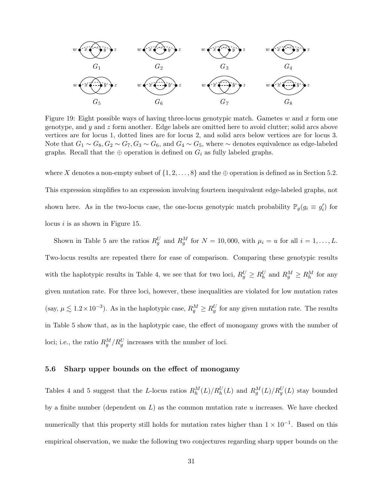

Figure 19: Eight possible ways of having three-locus genotypic match. Gametes w and x form one genotype, and  $\gamma$  and  $\zeta$  form another. Edge labels are omitted here to avoid clutter; solid arcs above vertices are for locus 1, dotted lines are for locus 2, and solid arcs below vertices are for locus 3. Note that  $G_1 \sim G_8, G_2 \sim G_7, G_3 \sim G_6$ , and  $G_4 \sim G_5$ , where  $\sim$  denotes equivalence as edge-labeled graphs. Recall that the  $\oplus$  operation is defined on  $G_i$  as fully labeled graphs.

where X denotes a non-empty subset of  $\{1, 2, \ldots, 8\}$  and the  $\oplus$  operation is defined as in Section 5.2. This expression simplifies to an expression involving fourteen inequivalent edge-labeled graphs, not shown here. As in the two-locus case, the one-locus genotypic match probability  $\mathbb{P}_g(g_i \equiv g'_i)$  for locus  $i$  is as shown in Figure 15.

Shown in Table 5 are the ratios  $R_g^U$  and  $R_g^M$  for  $N = 10,000$ , with  $\mu_i = u$  for all  $i = 1, \ldots, L$ . Two-locus results are repeated there for ease of comparison. Comparing these genotypic results with the haplotypic results in Table 4, we see that for two loci,  $R_g^U \ge R_h^U$  and  $R_g^M \ge R_h^M$  for any given mutation rate. For three loci, however, these inequalities are violated for low mutation rates (say,  $\mu \lesssim 1.2 \times 10^{-3}$ ). As in the haplotypic case,  $R_g^M \ge R_g^U$  for any given mutation rate. The results in Table 5 show that, as in the haplotypic case, the effect of monogamy grows with the number of loci; i.e., the ratio  $R_g^M/R_g^U$  increases with the number of loci.

#### 5.6 Sharp upper bounds on the effect of monogamy

Tables 4 and 5 suggest that the L-locus ratios  $R_h^M(L)/R_h^U(L)$  and  $R_g^M(L)/R_g^U(L)$  stay bounded by a finite number (dependent on  $L$ ) as the common mutation rate u increases. We have checked numerically that this property still holds for mutation rates higher than  $1 \times 10^{-1}$ . Based on this empirical observation, we make the following two conjectures regarding sharp upper bounds on the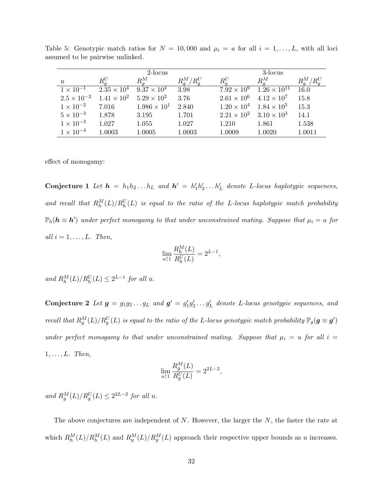|                    | 2-locus                                                        |                       |               | 3-locus            |                                       |               |
|--------------------|----------------------------------------------------------------|-----------------------|---------------|--------------------|---------------------------------------|---------------|
| $\boldsymbol{u}$   | $R_a^U$                                                        | $R_a^M$               | $R_a^M/R_a^U$ | $R_a^U$            | $R_a^M$                               | $R_a^M/R_a^U$ |
| $1 \times 10^{-1}$ | $2.35 \times 10^{4}$                                           | $9.37 \times 10^{4}$  | 3.98          | $7.92 \times 10^9$ | $1.26 \times 10^{11}$                 | 16.0          |
|                    | $2.5 \times 10^{-2}$ $1.41 \times 10^{2}$ $5.29 \times 10^{2}$ |                       | 3.76          |                    | $2.61 \times 10^6$ $4.12 \times 10^7$ | 15.8          |
| $1 \times 10^{-2}$ | 7.016                                                          | $1.986 \times 10^{1}$ | 2.840         |                    | $1.20 \times 10^4$ $1.84 \times 10^5$ | 15.3          |
| $5 \times 10^{-3}$ | 1.878                                                          | 3.195                 | 1.701         |                    | $2.21 \times 10^2$ $3.10 \times 10^3$ | 14.1          |
| $1 \times 10^{-3}$ | 1.027                                                          | 1.055                 | 1.027         | 1.210              | 1.861                                 | 1.538         |
| $1 \times 10^{-4}$ | 1.0003                                                         | 1.0005                | 1.0003        | 1.0009             | 1.0020                                | 1.0011        |

Table 5: Genotypic match ratios for  $N = 10,000$  and  $\mu_i = u$  for all  $i = 1, \ldots, L$ , with all loci assumed to be pairwise unlinked.

effect of monogamy:

**Conjecture 1** Let  $h = h_1 h_2 ... h_L$  and  $h' = h'_1 h'_2 ... h'_L$  denote L-locus haplotypic sequences, and recall that  $R_h^M(L)/R_h^U(L)$  is equal to the ratio of the L-locus haplotypic match probability  $\mathbb{P}_h(h \equiv h')$  under perfect monogamy to that under unconstrained mating. Suppose that  $\mu_i = u$  for all  $i = 1, \ldots, L$ . Then,

$$
\lim_{u\uparrow 1}\frac{R_h^M(L)}{R_h^U(L)}=2^{L-1},
$$

and  $R_h^M(L)/R_h^U(L) \leq 2^{L-1}$  for all u.

Conjecture 2 Let  $g = g_1 g_2 \ldots g_L$  and  $g' = g'_1 g'_2 \ldots g'_L$  denote L-locus genotypic sequences, and recall that  $R_g^M(L)/R_g^U(L)$  is equal to the ratio of the L-locus genotypic match probability  $\mathbb{P}_g(\bm{g}\equiv \bm{g}')$ under perfect monogamy to that under unconstrained mating. Suppose that  $\mu_i = u$  for all  $i =$  $1, \ldots, L$ . Then,

$$
\lim_{u \uparrow 1} \frac{R_g^M(L)}{R_g^U(L)} = 2^{2L-2},
$$

and  $R_g^M(L)/R_g^U(L) \leq 2^{2L-2}$  for all u.

The above conjectures are independent of N. However, the larger the N, the faster the rate at which  $R_h^M(L)/R_h^M(L)$  and  $R_g^M(L)/R_g^M(L)$  approach their respective upper bounds as u increases.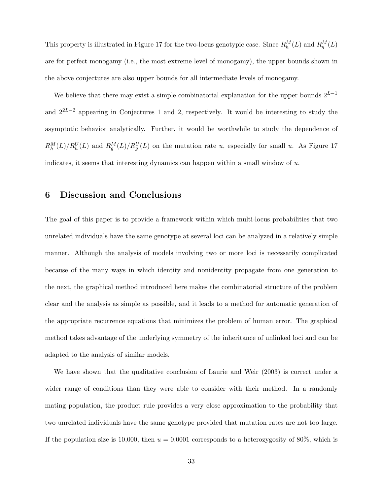This property is illustrated in Figure 17 for the two-locus genotypic case. Since  $R_h^M(L)$  and  $R_g^M(L)$ are for perfect monogamy (i.e., the most extreme level of monogamy), the upper bounds shown in the above conjectures are also upper bounds for all intermediate levels of monogamy.

We believe that there may exist a simple combinatorial explanation for the upper bounds  $2^{L-1}$ and  $2^{2L-2}$  appearing in Conjectures 1 and 2, respectively. It would be interesting to study the asymptotic behavior analytically. Further, it would be worthwhile to study the dependence of  $R_h^M(L)/R_h^U(L)$  and  $R_g^M(L)/R_g^U(L)$  on the mutation rate u, especially for small u. As Figure 17 indicates, it seems that interesting dynamics can happen within a small window of  $u$ .

## 6 Discussion and Conclusions

The goal of this paper is to provide a framework within which multi-locus probabilities that two unrelated individuals have the same genotype at several loci can be analyzed in a relatively simple manner. Although the analysis of models involving two or more loci is necessarily complicated because of the many ways in which identity and nonidentity propagate from one generation to the next, the graphical method introduced here makes the combinatorial structure of the problem clear and the analysis as simple as possible, and it leads to a method for automatic generation of the appropriate recurrence equations that minimizes the problem of human error. The graphical method takes advantage of the underlying symmetry of the inheritance of unlinked loci and can be adapted to the analysis of similar models.

We have shown that the qualitative conclusion of Laurie and Weir (2003) is correct under a wider range of conditions than they were able to consider with their method. In a randomly mating population, the product rule provides a very close approximation to the probability that two unrelated individuals have the same genotype provided that mutation rates are not too large. If the population size is 10,000, then  $u = 0.0001$  corresponds to a heterozygosity of 80%, which is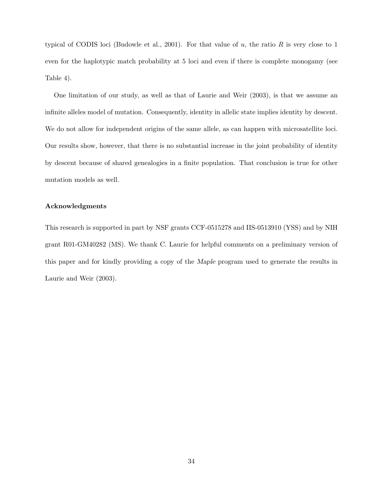typical of CODIS loci (Budowle et al., 2001). For that value of  $u$ , the ratio  $R$  is very close to 1 even for the haplotypic match probability at 5 loci and even if there is complete monogamy (see Table 4).

One limitation of our study, as well as that of Laurie and Weir (2003), is that we assume an infinite alleles model of mutation. Consequently, identity in allelic state implies identity by descent. We do not allow for independent origins of the same allele, as can happen with microsatellite loci. Our results show, however, that there is no substantial increase in the joint probability of identity by descent because of shared genealogies in a finite population. That conclusion is true for other mutation models as well.

#### Acknowledgments

This research is supported in part by NSF grants CCF-0515278 and IIS-0513910 (YSS) and by NIH grant R01-GM40282 (MS). We thank C. Laurie for helpful comments on a preliminary version of this paper and for kindly providing a copy of the Maple program used to generate the results in Laurie and Weir (2003).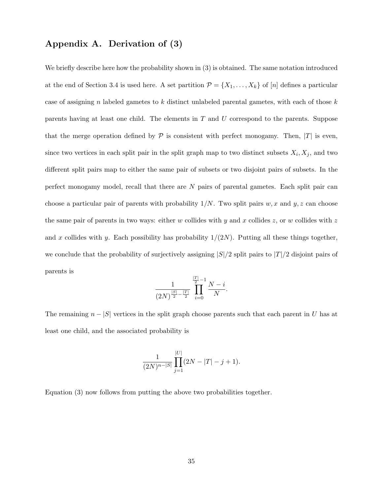# Appendix A. Derivation of (3)

We briefly describe here how the probability shown in  $(3)$  is obtained. The same notation introduced at the end of Section 3.4 is used here. A set partition  $\mathcal{P} = \{X_1, \ldots, X_k\}$  of  $[n]$  defines a particular case of assigning n labeled gametes to k distinct unlabeled parental gametes, with each of those  $k$ parents having at least one child. The elements in  $T$  and  $U$  correspond to the parents. Suppose that the merge operation defined by  $\mathcal P$  is consistent with perfect monogamy. Then,  $|T|$  is even, since two vertices in each split pair in the split graph map to two distinct subsets  $X_i, X_j$ , and two different split pairs map to either the same pair of subsets or two disjoint pairs of subsets. In the perfect monogamy model, recall that there are N pairs of parental gametes. Each split pair can choose a particular pair of parents with probability  $1/N$ . Two split pairs w, x and y, z can choose the same pair of parents in two ways: either w collides with y and x collides  $z$ , or w collides with z and x collides with y. Each possibility has probability  $1/(2N)$ . Putting all these things together, we conclude that the probability of surjectively assigning  $|S|/2$  split pairs to  $|T|/2$  disjoint pairs of parents is

$$
\frac{1}{(2N)^{\frac{|S|}{2}-\frac{|T|}{2}}}\prod_{i=0}^{\frac{|T|}{2}-1}\frac{N-i}{N}.
$$

The remaining  $n - |S|$  vertices in the split graph choose parents such that each parent in U has at least one child, and the associated probability is

$$
\frac{1}{(2N)^{n-|S|}}\prod_{j=1}^{|U|}(2N-|T|-j+1).
$$

Equation (3) now follows from putting the above two probabilities together.